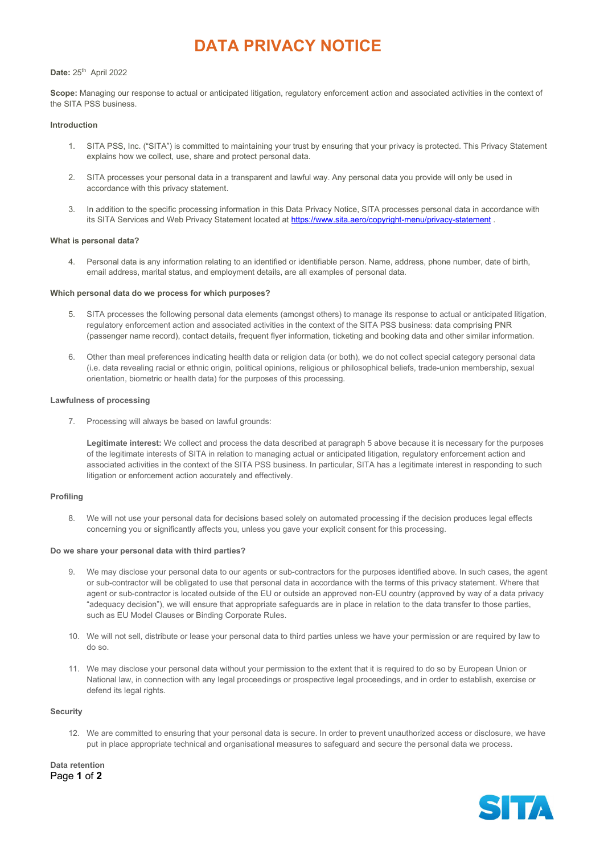# DATA PRIVACY NOTICE

## Date: 25<sup>th</sup> April 2022

Scope: Managing our response to actual or anticipated litigation, regulatory enforcement action and associated activities in the context of the SITA PSS business.

### Introduction

- 1. SITA PSS, Inc. ("SITA") is committed to maintaining your trust by ensuring that your privacy is protected. This Privacy Statement explains how we collect, use, share and protect personal data.
- 2. SITA processes your personal data in a transparent and lawful way. Any personal data you provide will only be used in accordance with this privacy statement.
- 3. In addition to the specific processing information in this Data Privacy Notice, SITA processes personal data in accordance with its SITA Services and Web Privacy Statement located at https://www.sita.aero/copyright-menu/privacy-statement .

## What is personal data?

4. Personal data is any information relating to an identified or identifiable person. Name, address, phone number, date of birth, email address, marital status, and employment details, are all examples of personal data.

## Which personal data do we process for which purposes?

- 5. SITA processes the following personal data elements (amongst others) to manage its response to actual or anticipated litigation, regulatory enforcement action and associated activities in the context of the SITA PSS business: data comprising PNR (passenger name record), contact details, frequent flyer information, ticketing and booking data and other similar information.
- 6. Other than meal preferences indicating health data or religion data (or both), we do not collect special category personal data (i.e. data revealing racial or ethnic origin, political opinions, religious or philosophical beliefs, trade-union membership, sexual orientation, biometric or health data) for the purposes of this processing.

## Lawfulness of processing

7. Processing will always be based on lawful grounds:

Legitimate interest: We collect and process the data described at paragraph 5 above because it is necessary for the purposes of the legitimate interests of SITA in relation to managing actual or anticipated litigation, regulatory enforcement action and associated activities in the context of the SITA PSS business. In particular, SITA has a legitimate interest in responding to such litigation or enforcement action accurately and effectively.

## Profiling

8. We will not use your personal data for decisions based solely on automated processing if the decision produces legal effects concerning you or significantly affects you, unless you gave your explicit consent for this processing.

#### Do we share your personal data with third parties?

- 9. We may disclose your personal data to our agents or sub-contractors for the purposes identified above. In such cases, the agent or sub-contractor will be obligated to use that personal data in accordance with the terms of this privacy statement. Where that agent or sub-contractor is located outside of the EU or outside an approved non-EU country (approved by way of a data privacy "adequacy decision"), we will ensure that appropriate safeguards are in place in relation to the data transfer to those parties, such as EU Model Clauses or Binding Corporate Rules.
- 10. We will not sell, distribute or lease your personal data to third parties unless we have your permission or are required by law to do so.
- 11. We may disclose your personal data without your permission to the extent that it is required to do so by European Union or National law, in connection with any legal proceedings or prospective legal proceedings, and in order to establish, exercise or defend its legal rights.

#### **Security**

12. We are committed to ensuring that your personal data is secure. In order to prevent unauthorized access or disclosure, we have put in place appropriate technical and organisational measures to safeguard and secure the personal data we process.

Page 1 of 2 Data retention